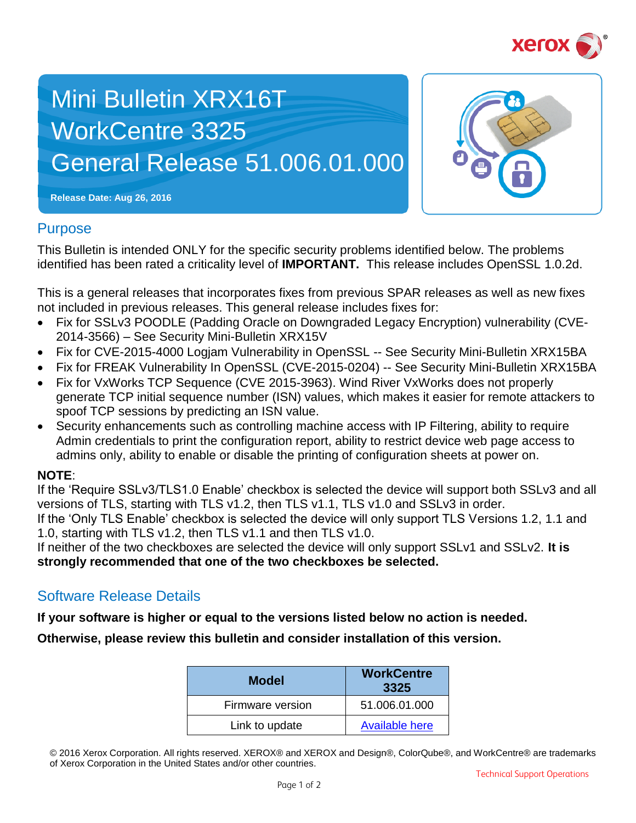

# Mini Bulletin XRX16T WorkCentre 3325 General Release 51.006.01.000



**Release Date: Aug 26, 2016**

## **Purpose**

This Bulletin is intended ONLY for the specific security problems identified below. The problems identified has been rated a criticality level of **IMPORTANT.** This release includes OpenSSL 1.0.2d.

This is a general releases that incorporates fixes from previous SPAR releases as well as new fixes not included in previous releases. This general release includes fixes for:

- Fix for SSLv3 POODLE (Padding Oracle on Downgraded Legacy Encryption) vulnerability (CVE-2014-3566) – See Security Mini-Bulletin XRX15V
- Fix for CVE-2015-4000 Logiam Vulnerability in OpenSSL -- See Security Mini-Bulletin XRX15BA
- Fix for FREAK Vulnerability In OpenSSL (CVE-2015-0204) -- See Security Mini-Bulletin XRX15BA
- Fix for VxWorks TCP Sequence (CVE 2015-3963). Wind River VxWorks does not properly generate TCP initial sequence number (ISN) values, which makes it easier for remote attackers to spoof TCP sessions by predicting an ISN value.
- Security enhancements such as controlling machine access with IP Filtering, ability to require Admin credentials to print the configuration report, ability to restrict device web page access to admins only, ability to enable or disable the printing of configuration sheets at power on.

### **NOTE**:

If the 'Require SSLv3/TLS1.0 Enable' checkbox is selected the device will support both SSLv3 and all versions of TLS, starting with TLS v1.2, then TLS v1.1, TLS v1.0 and SSLv3 in order.

If the 'Only TLS Enable' checkbox is selected the device will only support TLS Versions 1.2, 1.1 and 1.0, starting with TLS v1.2, then TLS v1.1 and then TLS v1.0.

If neither of the two checkboxes are selected the device will only support SSLv1 and SSLv2. **It is strongly recommended that one of the two checkboxes be selected.**

# Software Release Details

**If your software is higher or equal to the versions listed below no action is needed.**

**Otherwise, please review this bulletin and consider installation of this version.** 

| <b>Model</b>     | <b>WorkCentre</b><br>3325 |
|------------------|---------------------------|
| Firmware version | 51.006.01.000             |
| Link to update   | <b>Available here</b>     |

<sup>© 2016</sup> Xerox Corporation. All rights reserved. XEROX® and XEROX and Design®, ColorQube®, and WorkCentre® are trademarks of Xerox Corporation in the United States and/or other countries.